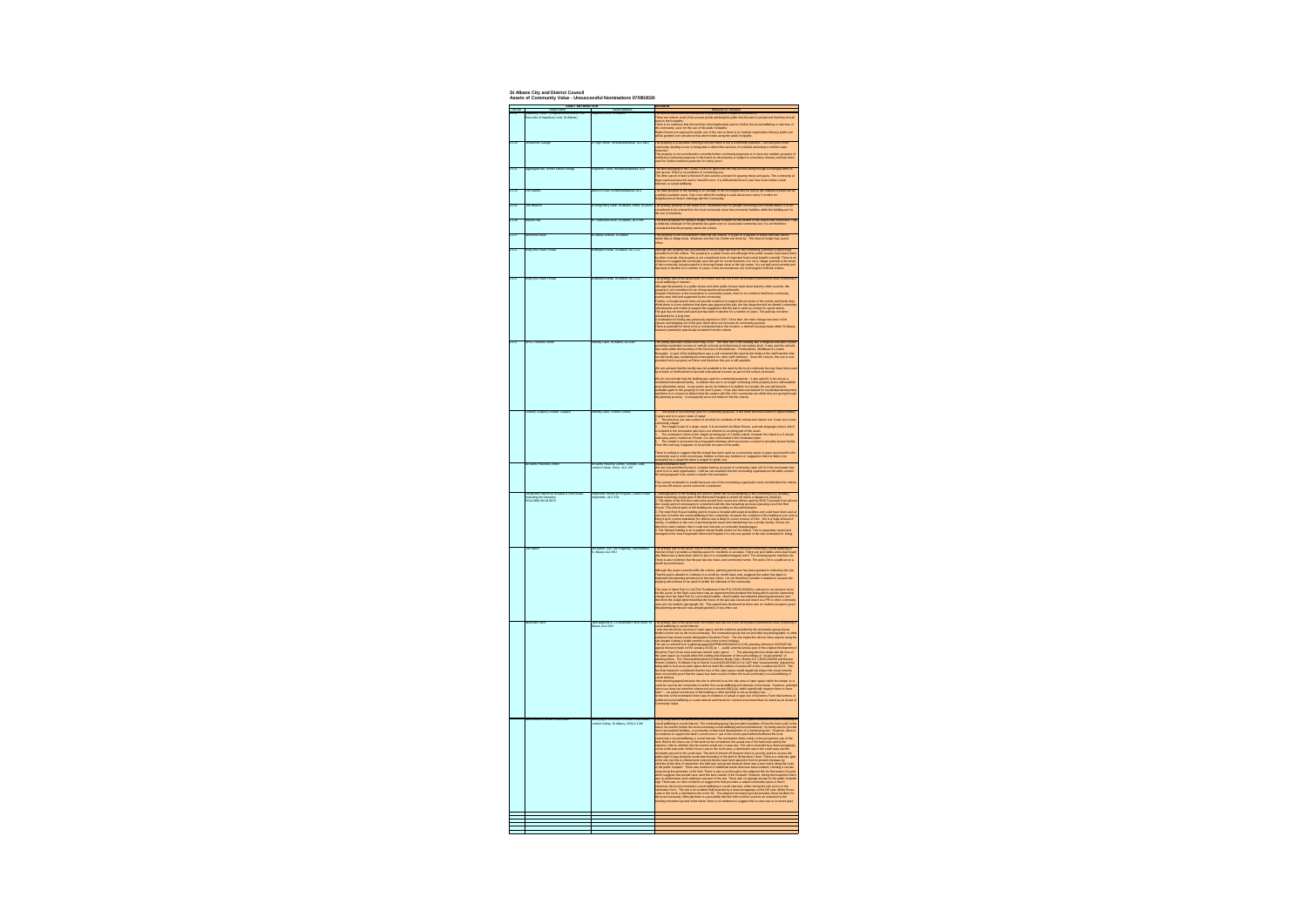

| Ref No.<br>$13 - 01$ | <b>ASSET INFORMATION</b><br><b>Asset Name</b><br>Napsbury Fields - (Registered as land on the<br>East side of Napsbury Lane, St Albans) | <b>Asset Address</b><br>Napsbury Lane, St Albans                                    |
|----------------------|-----------------------------------------------------------------------------------------------------------------------------------------|-------------------------------------------------------------------------------------|
| $13 - 10$            | Jessamine Garage                                                                                                                        | 15 High Street, Wheathampstead, AL4 8BQ                                             |
| $13 - 11$            | Aggregate site, former station sidings                                                                                                  | Kingfisher Close, Wheathampstead, AL4                                               |
| $13 - 13$            | <b>Fire Station</b>                                                                                                                     | Marford Road, Wheathampstead, AL4                                                   |
| $13 - 22$            | The Beacon                                                                                                                              | 26 King Harry Lane, St Albans, Herts, AL34AL                                        |
| $13 - 26$            | Marian Hall                                                                                                                             | 29 Townsend Drive, St Albans, AL3 5RF                                               |
|                      |                                                                                                                                         |                                                                                     |
| $13-27$              | <b>Westfield News</b>                                                                                                                   | 35 Abbey Avenue, St Albans                                                          |
| $13-27$              | King Offa Public House                                                                                                                  | Wallingford Walk, St Albans, AL1 2JJ                                                |
| $13-27$              | King Offa Public House                                                                                                                  | Wallingford Walk, St Albans, AL1 2JJ                                                |
|                      |                                                                                                                                         |                                                                                     |
| $13-27$              | <b>SPEC Retreat Centre</b>                                                                                                              | Shenley Lane, St Albans, AL21AF                                                     |
|                      |                                                                                                                                         |                                                                                     |
|                      |                                                                                                                                         |                                                                                     |
|                      | <b>Chantry Chapel (Compter Chapel)</b>                                                                                                  | Shenley Lane, London Colney                                                         |
|                      |                                                                                                                                         |                                                                                     |
|                      | <b>All Saints Pastoral Centre</b>                                                                                                       | All Saints Pastoral Centre, Shenley Lane,<br>London Colney, Herts. AL2 1AF          |
|                      | Harpenden Memorial Hospital & Red House<br>(including the Stewarts)<br>HD413881/HD413878                                                | Harpenden Memorial Hospital, Carlton Road,<br>Harpenden, AL5 4TA                    |
|                      | The Baton                                                                                                                               | The Baton, 334 The Ridgeway, Marshalwick,<br>St. Albans AL4 9RJ                     |
|                      | <b>Wynches Farm</b>                                                                                                                     | Land adjacent to 1-6 Wynches Farm Drive, St<br>Albans, AL4 0XH                      |
|                      | Land South of White Horse Lane                                                                                                          | Land lying to the south of White Horse Lane,<br>London Colney, St Albans, C8AL2 1JW |
|                      |                                                                                                                                         |                                                                                     |
|                      |                                                                                                                                         |                                                                                     |

**Assets of Community Value - Unsuccessful Nominations 07/08/2020 St Albans City and District Council**